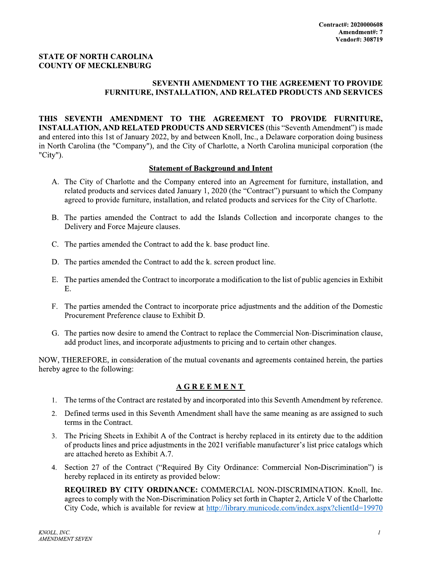## **STATE OF NORTH CAROLINA COUNTY OF MECKLENBURG**

## SEVENTH AMENDMENT TO THE AGREEMENT TO PROVIDE **FURNITURE, INSTALLATION, AND RELATED PRODUCTS AND SERVICES**

THIS SEVENTH AMENDMENT TO THE AGREEMENT TO PROVIDE FURNITURE, **INSTALLATION, AND RELATED PRODUCTS AND SERVICES (this "Seventh Amendment") is made** and entered into this 1st of January 2022, by and between Knoll, Inc., a Delaware corporation doing business in North Carolina (the "Company"), and the City of Charlotte, a North Carolina municipal corporation (the "City").

## **Statement of Background and Intent**

- A. The City of Charlotte and the Company entered into an Agreement for furniture, installation, and related products and services dated January 1, 2020 (the "Contract") pursuant to which the Company agreed to provide furniture, installation, and related products and services for the City of Charlotte.
- B. The parties amended the Contract to add the Islands Collection and incorporate changes to the Delivery and Force Majeure clauses.
- C. The parties amended the Contract to add the k. base product line.
- D. The parties amended the Contract to add the k. screen product line.
- E. The parties amended the Contract to incorporate a modification to the list of public agencies in Exhibit Ε.
- F. The parties amended the Contract to incorporate price adjustments and the addition of the Domestic Procurement Preference clause to Exhibit D.
- G. The parties now desire to amend the Contract to replace the Commercial Non-Discrimination clause, add product lines, and incorporate adjustments to pricing and to certain other changes.

NOW, THEREFORE, in consideration of the mutual covenants and agreements contained herein, the parties hereby agree to the following:

## **AGREEMENT**

- 1. The terms of the Contract are restated by and incorporated into this Seventh Amendment by reference.
- 2. Defined terms used in this Seventh Amendment shall have the same meaning as are assigned to such terms in the Contract.
- 3. The Pricing Sheets in Exhibit A of the Contract is hereby replaced in its entirety due to the addition of products lines and price adjustments in the 2021 verifiable manufacturer's list price catalogs which are attached hereto as Exhibit A.7.
- 4. Section 27 of the Contract ("Required By City Ordinance: Commercial Non-Discrimination") is hereby replaced in its entirety as provided below:

REQUIRED BY CITY ORDINANCE: COMMERCIAL NON-DISCRIMINATION. Knoll, Inc. agrees to comply with the Non-Discrimination Policy set forth in Chapter 2, Article V of the Charlotte City Code, which is available for review at http://library.municode.com/index.aspx?clientId=19970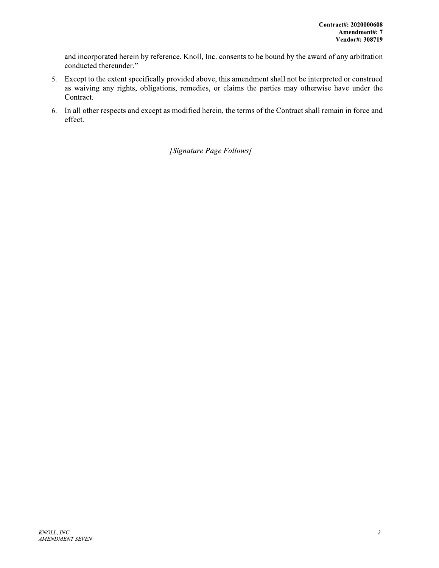and incorporated herein by reference. Knoll, Inc. consents to be bound by the award of any arbitration conducted thereunder."

- 5. Except to the extent specifically provided above, this amendment shall not be interpreted or construed as waiving any rights, obligations, remedies, or claims the parties may otherwise have under the Contract.
- 6. In all other respects and except as modified herein, the terms of the Contract shall remain in force and effect.

[Signature Page Follows]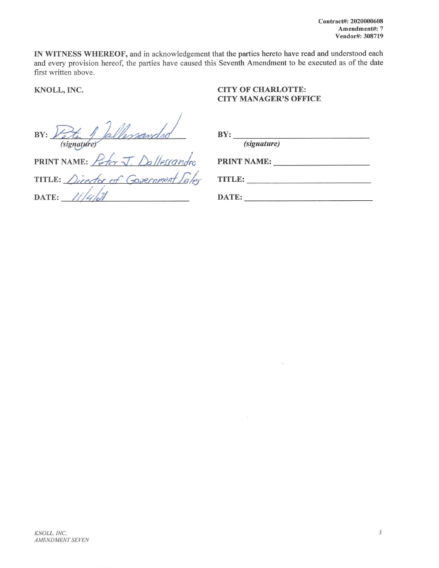IN WITNESS WHEREOF, and in acknowledgement that the parties hereto have read and understood each and every provision hereof, the parties have caused this Seventh Amendment to be executed as of the date first written above.

KNOLL, INC.

## **CITY OF CHARLOTTE: CITY MANAGER'S OFFICE**

Vallessandes  $BY:$ (signature)

| PRINT NAME: Peter J. Dallesrandro   |
|-------------------------------------|
| TITLE: Director of Government Saler |
| DATE: $1/4/21$                      |

| <b>BY:</b> |                    |  |
|------------|--------------------|--|
|            | <i>(signature)</i> |  |

| <b>PRINT NAME:</b> |  |
|--------------------|--|
|                    |  |

TITLE:

 $\alpha$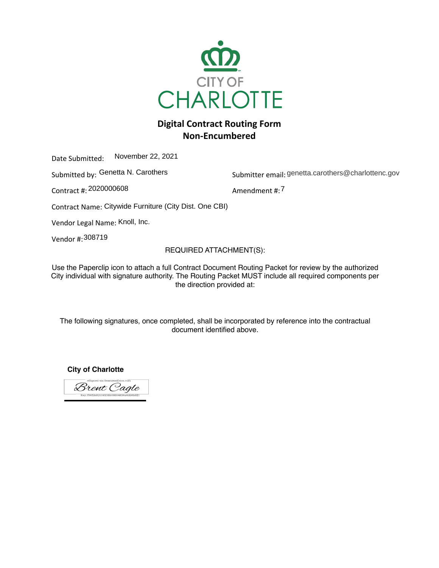

# **Digital Contract Routing Form Non-Encumbered**

Date Submitted: November 22, 2021

Submitted by: Genetta N. Carothers Submitter email: genetta.card

Contract #: Amendment #: 2020000608

Submitter email: genetta.carothers@charlottenc.gov

Amendment #: 7

Contract Name: Citywide Furniture (City Dist. One CBI)

Vendor Legal Name: Knoll, Inc.

Vendor #: 308719

## REQUIRED ATTACHMENT(S):

USC the Faperulip full to attach a full Udititate Ducument Hudthly Faunct for Feview by the authorized<br>City individual with cianoture outhority. The Douting Dooket MHCT include all required components nor City individual with signature authority. The Routing Packet MUST include all required components per<br>the direction provided at: Use the Paperclip icon to attach a full Contract Document Routing Packet for review by the authorized the direction provided at:

document identified above. The following signatures, once completed, shall be incorporated by reference into the contractual

**City of Charlotte**

Brent Cagle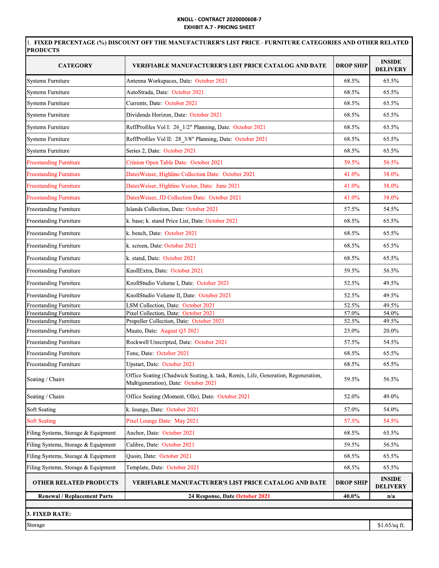## KNOLL - CONTRACT 2020000608-7 EXHIBIT A.7 - PRICING SHEET

|                                     | <b>EXHIBIT A.7 - PRICING SHEET</b><br>1. FIXED PERCENTAGE (%) DISCOUNT OFF THE MANUFACTURER'S LIST PRICE - FURNITURE CATEGORIES AND OTHER RELATED |                  |                                  |  |  |
|-------------------------------------|---------------------------------------------------------------------------------------------------------------------------------------------------|------------------|----------------------------------|--|--|
| <b>PRODUCTS</b>                     |                                                                                                                                                   |                  |                                  |  |  |
| <b>CATEGORY</b>                     | <b>VERIFIABLE MANUFACTURER'S LIST PRICE CATALOG AND DATE</b>                                                                                      | <b>DROP SHIP</b> | <b>INSIDE</b><br><b>DELIVERY</b> |  |  |
| Systems Furniture                   | Antenna Workspaces, Date: October 2021                                                                                                            | 68.5%            | 65.5%                            |  |  |
| <b>Systems Furniture</b>            | AutoStrada, Date: October 2021                                                                                                                    | 68.5%            | 65.5%                            |  |  |
| <b>Systems Furniture</b>            | Currents, Date: October 2021                                                                                                                      | 68.5%            | 65.5%                            |  |  |
| <b>Systems Furniture</b>            | Dividends Horizon, Date: October 2021                                                                                                             | 68.5%            | 65.5%                            |  |  |
| <b>Systems Furniture</b>            | ReffProfiles Vol I: 26_1/2" Planning, Date: October 2021                                                                                          | 68.5%            | 65.5%                            |  |  |
| <b>Systems Furniture</b>            | ReffProfiles Vol II: 28_3/8" Planning, Date: October 2021                                                                                         | 68.5%            | 65.5%                            |  |  |
| <b>Systems Furniture</b>            | Series 2, Date: October 2021                                                                                                                      | 68.5%            | 65.5%                            |  |  |
| <b>Freestanding Furniture</b>       | Crinion Open Table Date: October 2021                                                                                                             | 59.5%            | 56.5%                            |  |  |
| <b>Freestanding Furniture</b>       | DatesWeiser, Highline Collection Date: October 2021                                                                                               | 41.0%            | 38.0%                            |  |  |
| <b>Freestanding Furniture</b>       | DatesWeiser, Highline Vector, Date: June 2021                                                                                                     | 41.0%            | 38.0%                            |  |  |
| <b>Freestanding Furniture</b>       | DatesWeiser, JD Collection Date: October 2021                                                                                                     | 41.0%            | 38.0%                            |  |  |
| <b>Freestanding Furniture</b>       | Islands Collection, Date: October 2021                                                                                                            | 57.5%            | 54.5%                            |  |  |
| Freestanding Furniture              | k. base; k. stand Price List, Date: October 2021                                                                                                  | 68.5%            | 65.5%                            |  |  |
| Freestanding Furniture              | k. bench, Date: October 2021                                                                                                                      | 68.5%            | 65.5%                            |  |  |
| Freestanding Furniture              | k. screen, Date: October 2021                                                                                                                     | 68.5%            | 65.5%                            |  |  |
| Freestanding Furniture              | k. stand, Date: October 2021                                                                                                                      | 68.5%            | 65.5%                            |  |  |
| <b>Freestanding Furniture</b>       | KnollExtra, Date: October 2021                                                                                                                    | 59.5%            | 56.5%                            |  |  |
| Freestanding Furniture              | KnollStudio Volume I, Date: October 2021                                                                                                          | 52.5%            | 49.5%                            |  |  |
| <b>Freestanding Furniture</b>       | KnollStudio Volume II, Date: October 2021                                                                                                         | 52.5%            | 49.5%                            |  |  |
| <b>Freestanding Furniture</b>       | LSM Collection, Date: October 2021                                                                                                                | 52.5%            | 49.5%                            |  |  |
| Freestanding Furniture              | Pixel Collection, Date: October 2021                                                                                                              | 57.0%            | 54.0%                            |  |  |
| <b>Freestanding Furniture</b>       | Propeller Collection, Date: October 2021                                                                                                          | 52.5%            | 49.5%                            |  |  |
| Freestanding Furniture              | Muuto, Date: August Q3 2021                                                                                                                       | 23.0%            | 20.0%                            |  |  |
| Freestanding Furniture              | Rockwell Unscripted, Date: October 2021                                                                                                           | 57.5%            | 54.5%                            |  |  |
| <b>Freestanding Furniture</b>       | Tone, Date: October 2021                                                                                                                          | 68.5%            | 65.5%                            |  |  |
| Freestanding Furniture              | Upstart, Date: October 2021                                                                                                                       | 68.5%            | 65.5%                            |  |  |
| Seating / Chairs                    | Office Seating (Chadwick Seating, k. task, Remix, Life, Generation, Regeneration,<br>Multigeneration), Date: October 2021                         | 59.5%            | 56.5%                            |  |  |
| Seating / Chairs                    | Office Seating (Moment, Ollo), Date: October 2021                                                                                                 | 52.0%            | 49.0%                            |  |  |
| Soft Seating                        | k. lounge, Date: October 2021                                                                                                                     | 57.0%            | 54.0%                            |  |  |
| <b>Soft Seating</b>                 | Pixel Lounge Date: May 2021                                                                                                                       | 57.5%            | 54.5%                            |  |  |
| Filing Systems, Storage & Equipment | Anchor, Date: October 2021                                                                                                                        | 68.5%            | 65.5%                            |  |  |
| Filing Systems, Storage & Equipment | Calibre, Date: October 2021                                                                                                                       | 59.5%            | 56.5%                            |  |  |
| Filing Systems, Storage & Equipment | Quoin, Date: October 2021                                                                                                                         | 68.5%            | 65.5%                            |  |  |
| Filing Systems, Storage & Equipment | Template, Date: October 2021                                                                                                                      | 68.5%            | 65.5%                            |  |  |
| <b>OTHER RELATED PRODUCTS</b>       | <b>VERIFIABLE MANUFACTURER'S LIST PRICE CATALOG AND DATE</b>                                                                                      | <b>DROP SHIP</b> | <b>INSIDE</b><br><b>DELIVERY</b> |  |  |
| <b>Renewal / Replacement Parts</b>  | 24 Response, Date October 2021                                                                                                                    | 40.0%            | n/a                              |  |  |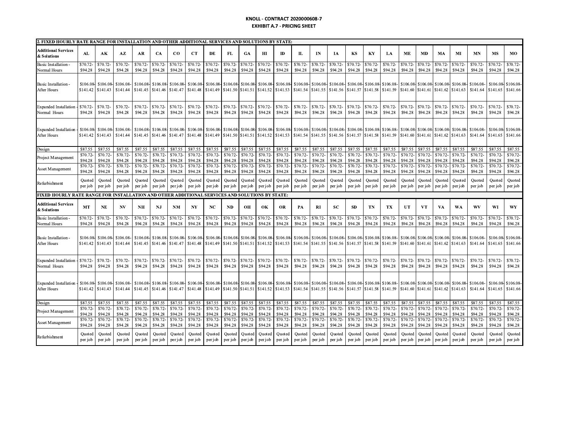### KNOLL - CONTRACT 2020000608-7 **EXHIBIT A.7 - PRICING SHEET**

| 2. FIXED HOURLY RATE RANGE FOR INSTALLATION AND OTHER ADDITIONAL SERVICES AND SOLUTIONS BY STATE: |                      |                       |                      |                      |                      |                       |                      |                       |                               |                      |                       |                      |                      |                      |                                                                             |                      |                     |                               |                      |                      |                      |                      |                       |                               |                      |
|---------------------------------------------------------------------------------------------------|----------------------|-----------------------|----------------------|----------------------|----------------------|-----------------------|----------------------|-----------------------|-------------------------------|----------------------|-----------------------|----------------------|----------------------|----------------------|-----------------------------------------------------------------------------|----------------------|---------------------|-------------------------------|----------------------|----------------------|----------------------|----------------------|-----------------------|-------------------------------|----------------------|
| <b>Additional Services</b><br>& Solutions                                                         | AL                   | АK                    | AZ                   | AR.                  | CA                   | $_{\rm CO}$           | CT                   | DE                    | FL                            | <b>GA</b>            | HI                    | <b>ID</b>            | п                    | IN                   | ĪА                                                                          | KS                   | KY                  | LA                            | <b>ME</b>            | <b>MD</b>            | MA                   | MI                   | <b>MN</b>             | <b>MS</b>                     | <b>MO</b>            |
| <b>Basic Installation</b><br>Normal Hours                                                         | \$70.72<br>\$94.28   | \$70.72<br>\$94.28    | \$70.72<br>\$94.28   | \$70.72<br>\$94.28   | \$70.72-<br>\$94.28  | \$70.72<br>\$94.28    | \$70.72<br>\$94.28   | \$70.72<br>\$94.28    | \$70.72-<br>\$94.28           | \$70.72<br>\$94.28   | \$70.72<br>\$94.28    | \$70.72-<br>\$94.28  | \$70.72<br>\$94.28   | \$70.72<br>\$94.28   | \$70.72<br>\$94.28                                                          | \$70.72-<br>\$94.28  | \$70.72-<br>\$94.28 | \$70.72<br>\$94.28            | \$70.72<br>\$94.28   | \$70.72<br>\$94.28   | \$70.72<br>\$94.28   | \$70.72-<br>\$94.28  | \$70.72-<br>\$94.28   | \$70.72<br>\$94.28            | \$70.72<br>\$94.28   |
| <b>Basic Installation</b><br>After Hours                                                          | \$106.08<br>\$141.42 | \$106.08-<br>\$141.43 | \$106.08<br>\$141.44 | \$106.08<br>\$141.45 | \$106.08<br>\$141.46 | \$106.08-<br>\$141.47 | \$106.08<br>\$141.48 | \$106.08-<br>\$141.49 | \$106.08<br>\$141.50          | \$106.08<br>\$141.51 | \$106.08-<br>\$141.52 | \$106.08<br>\$141.53 | \$106.08<br>\$141.54 | \$106.08<br>\$141.55 | \$106.08<br>\$141.56                                                        | \$106.08<br>\$141.57 | \$141.58            | \$106.08 \$106.08<br>\$141.59 | \$106.08<br>\$141.60 | \$106.08<br>\$141.61 | \$106.08<br>\$141.62 | \$106.08<br>\$141.63 | \$106.08-<br>\$141.64 | \$106.08<br>\$141.65          | \$106.08<br>\$141.66 |
| Expanded Installation<br>Normal Hours                                                             | \$70.72-<br>\$94.28  | \$70.72-<br>\$94.28   | \$70.72<br>\$94.28   | \$70.72-<br>\$94.28  | \$70.72-<br>\$94.28  | \$70.72-<br>\$94.28   | \$70.72<br>\$94.28   | \$70.72<br>\$94.28    | \$70.72-<br>\$94.28           | \$70.72-<br>\$94.28  | \$70.72<br>\$94.28    | \$70.72-<br>\$94.28  | \$70.72-<br>\$94.28  | \$70.72<br>\$94.28   | \$70.72<br>\$94.28                                                          | \$70.72-<br>\$94.28  | \$70.72-<br>\$94.28 | \$70.72<br>\$94.28            | \$70.72-<br>\$94.28  | \$70.72<br>\$94.28   | \$70.72<br>\$94.28   | \$70.72-<br>\$94.28  | \$70.72-<br>\$94.28   | \$70.72-<br>\$94.28           | \$70.72<br>\$94.28   |
| <b>Expanded Installation</b><br>After Hours                                                       | \$106.08<br>\$141.42 | \$106.08-<br>\$141.43 | \$106.08<br>\$141.44 | \$106.08<br>\$141.45 | \$106.08<br>\$141.46 | \$106.08-<br>\$141.47 | \$106.08<br>\$141.48 | \$106.08<br>\$141.49  | \$106.08<br>\$141.50 \$141.51 | \$106.0              | \$106.08<br>\$141.52  | \$106.08<br>\$141.53 | \$106.08             | \$106.08             | \$106.08<br>\$141.54   \$141.55   \$141.56   \$141.57   \$141.58   \$141.59 | \$106.08             | \$106.08            | \$106.08                      | \$106.08<br>\$141.60 | \$106.0<br>\$141.61  | \$106.0<br>\$141.62  | \$106.08<br>\$141.63 | \$106.08<br>\$141.64  | \$106.08<br>\$141.65          | \$106.08<br>\$141.66 |
| Design                                                                                            | \$87.55              | \$87.55               | \$87.55              | \$87.55              | \$87.55              | \$87.55               | \$87.55              | \$87.55               | \$87.55                       | \$87.55              | \$87.55               | \$87.55              | \$87.55              | \$87.55              | \$87.55                                                                     | \$87.55              | \$87.55             | \$87.55                       | \$87.55              | \$87.55              | \$87.55              | \$87.55              | \$87.55               | \$87.55                       | \$87.55              |
| Project Managemen                                                                                 | \$70.72              | \$70.72               | \$70.72              | \$70.72-             | \$70.72-             | \$70.72               | \$70.72              | \$70.72               | \$70.72-                      | \$70.72              | \$70.72               | \$70.72-             | \$70.72              | \$70.72              | \$70.72                                                                     | \$70.72-             | \$70.72             | \$70.72                       | \$70.72              | \$70.72              | \$70.72              | \$70.72-             | \$70.72-              | \$70.72                       | \$70.72              |
|                                                                                                   | \$94.28<br>\$70.72   | \$94.28<br>\$70.72    | \$94.28<br>\$70.72   | \$94.28<br>\$70.72-  | \$94.28<br>\$70.72-  | \$94.28<br>\$70.72    | \$94.28<br>\$70.72   | \$94.28<br>\$70.72    | \$94.28<br>\$70.72-           | \$94.28<br>\$70.72   | \$94.28<br>\$70.72    | \$94.28<br>\$70.72-  | \$94.28<br>\$70.72   | \$94.28<br>\$70.72   | \$94.28<br>\$70.72                                                          | \$94.28<br>\$70.72-  | \$94.28<br>\$70.72  | \$94.28<br>\$70.72            | \$94.28<br>\$70.72   | \$94.28<br>\$70.72   | \$94.28<br>\$70.72   | \$94.28<br>\$70.72-  | \$94.28<br>\$70.72-   | \$94.28<br>\$70.72            | \$94.28<br>\$70.72-  |
| Asset Management                                                                                  | \$94.28              | \$94.28               | \$94.28              | \$94.28              | \$94.28              | \$94.28               | \$94.28              | \$94.28               | \$94.28                       | \$94.28              | \$94.28               | \$94.28              | \$94.28              | \$94.28              | \$94.28                                                                     | \$94.28              | \$94.28             | \$94.28                       | \$94.28              | \$94.28              | \$94.28              | \$94.28              | \$94.28               | \$94.28                       | \$94.28              |
| Refurbishment                                                                                     | Quoted<br>per job    | Quoted<br>per job     | Quoted<br>per job    | Quoted<br>per job    | Ouoted<br>per job    | Quoted<br>per job     | Quoted<br>per job    | Quoted<br>per job     | Quoted<br>per job             | Quoted<br>per job    | Quoted<br>per job     | Quoted<br>per job    | Quoted<br>per job    | Quoted<br>per job    | Quoted<br>per job                                                           | Quoted<br>per job    | Quoted<br>per job   | Quoted<br>per job             | Quoted<br>per job    | Quoted<br>per job    | Ouoted<br>per job    | Quoted<br>per job    | Quoted<br>per job     | Quoted<br>per job             | Quoted<br>per job    |
| FIXED HOURLY RATE RANGE FOR INSTALLATION AND OTHER ADDITIONAL SERVICES AND SOLUTIONS BY STATE:    |                      |                       |                      |                      |                      |                       |                      |                       |                               |                      |                       |                      |                      |                      |                                                                             |                      |                     |                               |                      |                      |                      |                      |                       |                               |                      |
| <b>Additional Services</b><br>& Solutions                                                         | MT                   | NE                    | N <sub>V</sub>       | NH                   | NJ                   | <b>NM</b>             | NY                   | NC                    | <b>ND</b>                     | OH                   | OК                    | OR                   | PA                   | <b>RI</b>            | SC                                                                          | <b>SD</b>            | TN                  | TX                            | UT                   | <b>VT</b>            | VA                   | WA                   | WV                    | WI                            | WY                   |
| <b>Basic Installation</b><br>Normal Hours                                                         | \$70.72<br>\$94.28   | \$70.72<br>\$94.28    | \$70.72<br>\$94.28   | \$70.72-<br>\$94.28  | \$70.72-<br>\$94.28  | \$70.72<br>\$94.28    | \$70.72<br>\$94.28   | \$70.72<br>\$94.28    | \$70.72-<br>\$94.28           | \$70.72<br>\$94.28   | \$70.72<br>\$94.28    | \$70.72-<br>\$94.28  | \$70.72<br>\$94.28   | \$70.72-<br>\$94.28  | \$70.72<br>\$94.28                                                          | \$70.72-<br>\$94.28  | \$70.72-<br>\$94.28 | \$70.72-<br>\$94.28           | \$70.72-<br>\$94.28  | \$70.72<br>\$94.28   | \$70.72<br>\$94.28   | \$70.72-<br>\$94.28  | \$70.72-<br>\$94.28   | \$70.72-<br>\$94.28           | \$70.72-<br>\$94.28  |
| <b>Basic Installation</b><br>After Hours                                                          | \$106.08<br>\$141.42 | \$106.08<br>\$141.43  | \$106.08<br>\$141.44 | \$106.08<br>\$141.45 | \$106.08<br>\$141.46 | \$106.08-<br>\$141.47 | \$106.08<br>\$141.48 | \$106.08<br>\$141.49  | \$106.08<br>\$141.50          | \$106.08<br>\$141.51 | \$106.08<br>\$141.52  | \$106.08<br>\$141.53 | \$106.08             | \$106.08             | \$106.08<br>\$141.54 \\$141.55 \\$141.56                                    | \$106.08<br>\$141.57 | \$141.58            | \$106.08 \$106.08<br>\$141.59 | \$106.08<br>\$141.60 | \$106.08<br>\$141.61 | \$106.08<br>\$141.62 | \$106.08<br>\$141.63 | \$106.08-<br>\$141.64 | \$106.08<br>\$141.65          | \$106.08<br>\$141.66 |
| <b>Expanded Installation</b><br>Normal Hours                                                      | \$70.72-<br>\$94.28  | \$70.72-<br>\$94.28   | \$70.72<br>\$94.28   | \$70.72-<br>\$94.28  | \$70.72-<br>\$94.28  | \$70.72-<br>\$94.28   | \$70.72<br>\$94.28   | \$70.72<br>\$94.28    | \$70.72-<br>\$94.28           | \$70.72-<br>\$94.28  | \$70.72<br>\$94.28    | \$70.72-<br>\$94.28  | \$70.72-<br>\$94.28  | \$70.72-<br>\$94.28  | \$70.72-<br>\$94.28                                                         | \$70.72-<br>\$94.28  | \$70.72-<br>\$94.28 | \$70.72-<br>\$94.28           | \$70.72-<br>\$94.28  | \$70.72<br>\$94.28   | \$70.72-<br>\$94.28  | \$70.72-<br>\$94.28  | \$70.72-<br>\$94.28   | \$70.72-<br>\$94.28           | \$70.72<br>\$94.28   |
| Expanded Installation<br>After Hours                                                              | \$106.08<br>\$141.42 | \$106.08-<br>\$141.43 | \$106.08<br>\$141.44 | \$106.08<br>\$141.45 | \$106.08<br>\$141.46 | \$106.08<br>\$141.47  | \$106.08<br>\$141.48 | \$106.08<br>\$141.49  | \$106.08<br>\$141.50          | \$106.08<br>\$141.51 | \$106.08-<br>\$141.52 | \$106.08<br>\$141.53 | \$106.08<br>\$141.54 | \$106.08<br>\$141.55 | \$106.08<br>\$141.56                                                        | \$106.08<br>\$141.57 | \$141.58            | \$106.08 \$106.08<br>\$141.59 | \$106.08<br>\$141.60 | \$106.08<br>\$141.61 | \$106.08<br>\$141.62 | \$106.08<br>\$141.63 | \$106.08-<br>\$141.64 | \$106.08 \$106.08<br>\$141.65 | \$141.66             |
| <b>Design</b>                                                                                     | \$87.55              | \$87.55               | \$87.55              | \$87.55              | \$87.55              | \$87.55               | \$87.55              | \$87.55               | \$87.55                       | \$87.55              | \$87.55               | \$87.55              | \$87.55              | \$87.55              | \$87.55                                                                     | \$87.55              | \$87.55             | \$87.55                       | \$87.55              | \$87.55              | \$87.55              | \$87.55              | \$87.55               | \$87.55                       | \$87.55              |
| Project Management                                                                                | \$70.72-             | \$70.72               | \$70.72-             | \$70.72-             | \$70.72-             | \$70.72               | \$70.72              | \$70.72               | \$70.72-                      | \$70.72              | \$70.72               | \$70.72-             | \$70.72              | \$70.72              | \$70.72                                                                     | \$70.72-             | \$70.72             | \$70.72                       | \$70.72              | \$70.72              | \$70.72              | \$70.72-             | \$70.72-              | \$70.72                       | \$70.72              |
|                                                                                                   | \$94.28<br>\$70.72-  | \$94.28<br>\$70.72    | \$94.28<br>\$70.72   | \$94.28<br>\$70.72-  | \$94.28<br>\$70.72-  | \$94.28<br>\$70.72    | \$94.28<br>\$70.72   | \$94.28<br>\$70.72    | \$94.28<br>\$70.72-           | \$94.28<br>\$70.72   | \$94.28<br>\$70.72    | \$94.28<br>\$70.72-  | \$94.28<br>\$70.72   | \$94.28<br>\$70.72   | \$94.28<br>\$70.72                                                          | \$94.28<br>\$70.72-  | \$94.28<br>\$70.72  | \$94.28<br>\$70.72            | \$94.28<br>\$70.72   | \$94.28<br>\$70.72   | \$94.28<br>\$70.72   | \$94.28<br>\$70.72-  | \$94.28<br>\$70.72-   | \$94.28<br>\$70.72            | \$94.28<br>\$70.72   |
| Asset Management                                                                                  | \$94.28              | \$94.28               | \$94.28              | \$94.28              | \$94.28              | \$94.28               | \$94.28              | \$94.28               | \$94.28                       | \$94.28              | \$94.28               | \$94.28              | \$94.28              | \$94.28              | \$94.28                                                                     | \$94.28              | \$94.28             | \$94.28                       | \$94.28              | \$94.28              | \$94.28              | \$94.28              | \$94.28               | \$94.28                       | \$94.28              |
| Refurbishment                                                                                     | Ouoted<br>per job    | Quoted<br>per job     | Ouoted<br>per job    | Ouoted<br>per job    | Ouoted<br>per job    | Ouoted<br>per job     | Ouoted<br>per job    | Ouoted<br>per job     | Ouoted<br>per job             | Ouoted<br>per job    | Ouoted<br>per job     | Ouoted<br>per job    | Quoted<br>per job    | Ouoted<br>per job    | Ouoted<br>per job                                                           | Ouoted<br>per job    | Quoted<br>per job   | Ouoted<br>per job             | Ouoted<br>per job    | Ouoted<br>per job    | Ouoted<br>per job    | Ouoted<br>per job    | Ouoted<br>per job     | Ouoted<br>per job             | Ouoted<br>per job    |